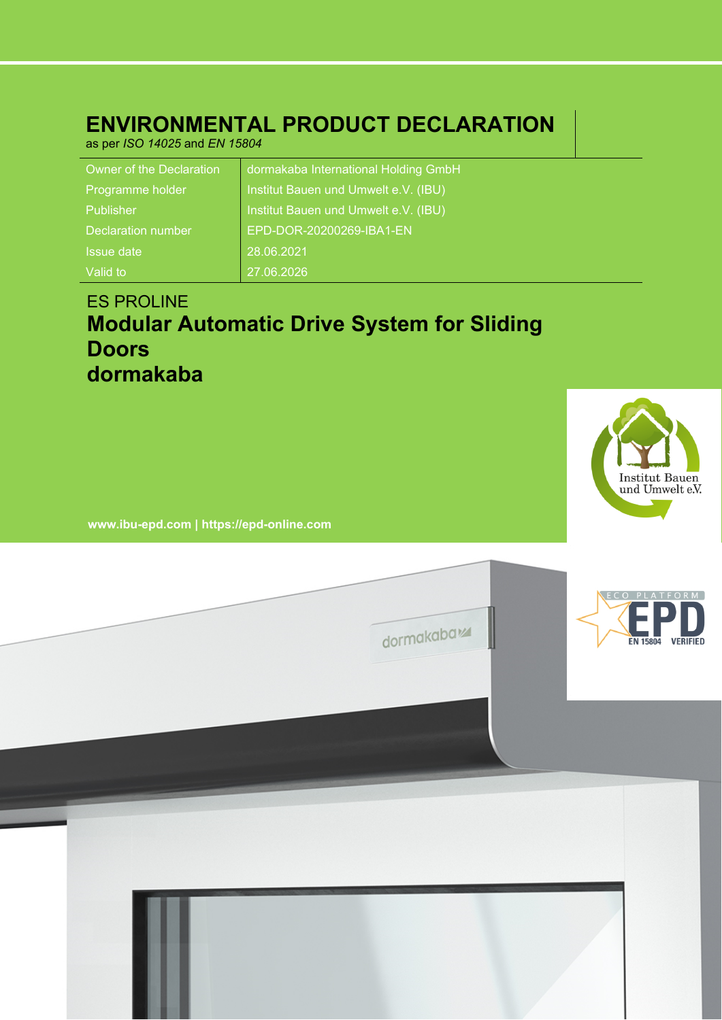## **ENVIRONMENTAL PRODUCT DECLARATION**

as per *ISO 14025* and *EN 15804*

| Owner of the Declaration  | dormakaba International Holding GmbH |
|---------------------------|--------------------------------------|
| Programme holder          | Institut Bauen und Umwelt e.V. (IBU) |
| Publisher                 | Institut Bauen und Umwelt e.V. (IBU) |
| <b>Declaration number</b> | EPD-DOR-20200269-IBA1-EN             |
| <b>Issue date</b>         | 28.06.2021                           |
| Valid to                  | 27.06.2026                           |

## ES PROLINE **Modular Automatic Drive System for Sliding Doors dormakaba**



**www.ibu-epd.com | https://epd-online.com**

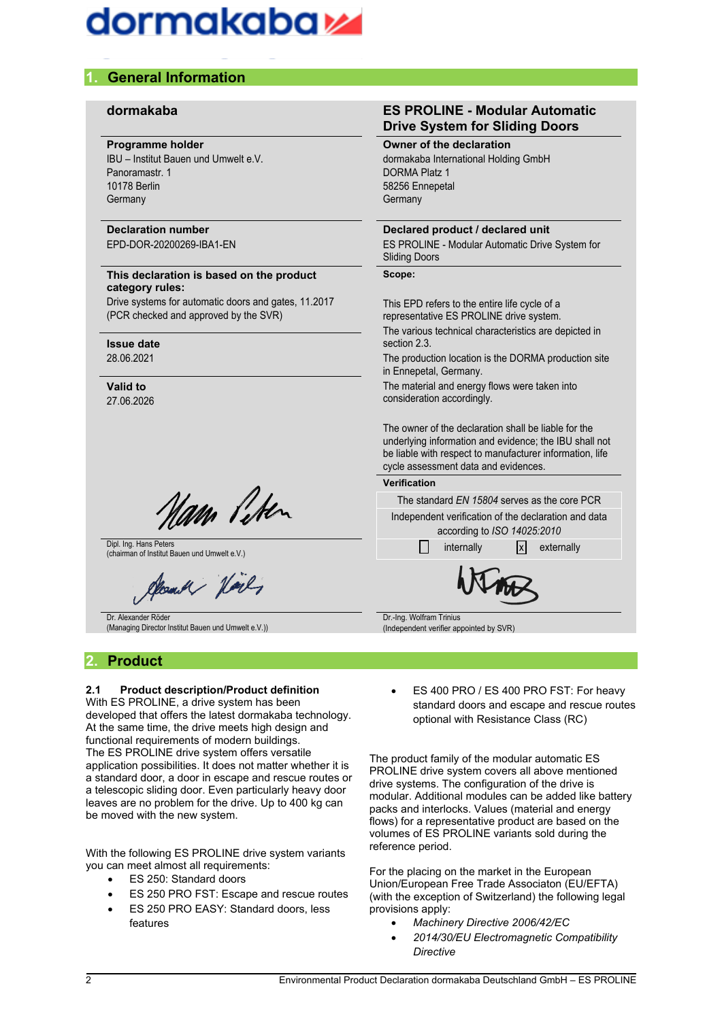## dormakabaz

### **1. General Information**

#### **Programme holder**

IBU – Institut Bauen und Umwelt e.V. Panoramastr. 1 10178 Berlin **Germany** 

### **Declaration number**

EPD-DOR-20200269-IBA1-EN

#### **This declaration is based on the product category rules:**

Drive systems for automatic doors and gates, 11.2017 (PCR checked and approved by the SVR)

#### **Issue date** 28.06.2021

**Valid to** 27.06.2026

am Peter

Dipl. Ing. Hans Peters (chairman of Institut Bauen und Umwelt e.V.)

m.M Voil

Dr. Alexander Röder (Managing Director Institut Bauen und Umwelt e.V.))

### **2. Product**

#### **2.1 Product description/Product definition**

With ES PROLINE, a drive system has been developed that offers the latest dormakaba technology. At the same time, the drive meets high design and functional requirements of modern buildings. The ES PROLINE drive system offers versatile application possibilities. It does not matter whether it is a standard door, a door in escape and rescue routes or a telescopic sliding door. Even particularly heavy door leaves are no problem for the drive. Up to 400 kg can be moved with the new system.

With the following ES PROLINE drive system variants you can meet almost all requirements:

- ES 250: Standard doors
- ES 250 PRO FST: Escape and rescue routes
- ES 250 PRO EASY: Standard doors, less features

#### **dormakaba ES PROLINE - Modular Automatic Drive System for Sliding Doors**

#### **Owner of the declaration**

dormakaba International Holding GmbH DORMA Platz 1 58256 Ennepetal **Germany** 

#### **Declared product / declared unit**

ES PROLINE - Modular Automatic Drive System for Sliding Doors

#### **Scope:**

This EPD refers to the entire life cycle of a representative ES PROLINE drive system.

The various technical characteristics are depicted in section 2.3.

The production location is the DORMA production site in Ennepetal, Germany.

The material and energy flows were taken into consideration accordingly.

The owner of the declaration shall be liable for the underlying information and evidence; the IBU shall not be liable with respect to manufacturer information, life cycle assessment data and evidences.

| Verification |
|--------------|
|--------------|

| The standard EN 15804 serves as the core PCR |                             |  |                                                      |  |  |
|----------------------------------------------|-----------------------------|--|------------------------------------------------------|--|--|
|                                              |                             |  | Independent verification of the declaration and data |  |  |
|                                              | according to ISO 14025:2010 |  |                                                      |  |  |
|                                              | internally                  |  | $ x $ externally                                     |  |  |
| $M_{\star}$                                  |                             |  |                                                      |  |  |

Dr.-Ing. Wolfram Trinius (Independent verifier appointed by SVR)

 ES 400 PRO / ES 400 PRO FST: For heavy standard doors and escape and rescue routes optional with Resistance Class (RC)

The product family of the modular automatic ES PROLINE drive system covers all above mentioned drive systems. The configuration of the drive is modular. Additional modules can be added like battery packs and interlocks. Values (material and energy flows) for a representative product are based on the volumes of ES PROLINE variants sold during the reference period.

For the placing on the market in the European Union/European Free Trade Associaton (EU/EFTA) (with the exception of Switzerland) the following legal provisions apply:

- *Machinery Directive 2006/42/EC*
- *2014/30/EU Electromagnetic Compatibility Directive*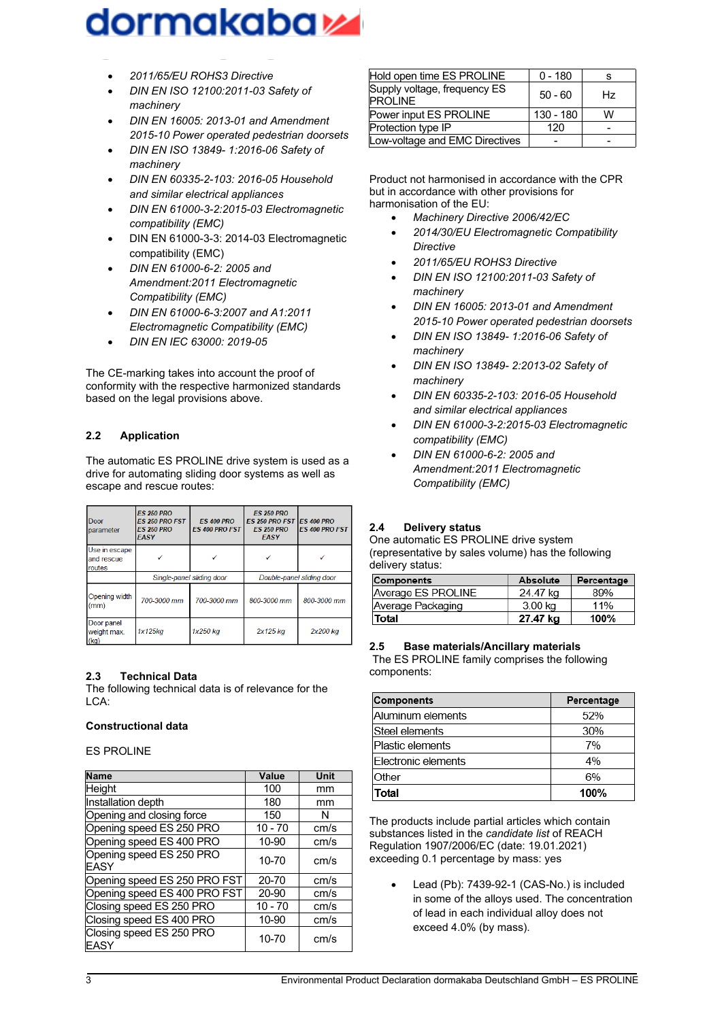# dormakaba z

- *2011/65/EU ROHS3 Directive*
- *DIN EN ISO 12100:2011-03 Safety of machinery*
- *DIN EN 16005: 2013-01 and Amendment 2015-10 Power operated pedestrian doorsets*
- *DIN EN ISO 13849- 1:2016-06 Safety of machinery*
- *DIN EN 60335-2-103: 2016-05 Household and similar electrical appliances*
- *DIN EN 61000-3-2:2015-03 Electromagnetic compatibility (EMC)*
- DIN EN 61000-3-3: 2014-03 Electromagnetic compatibility (EMC)
- *DIN EN 61000-6-2: 2005 and Amendment:2011 Electromagnetic Compatibility (EMC)*
- *DIN EN 61000-6-3:2007 and A1:2011 Electromagnetic Compatibility (EMC)*
- *DIN EN IEC 63000: 2019-05*

The CE-marking takes into account the proof of conformity with the respective harmonized standards based on the legal provisions above.

#### **2.2 Application**

The automatic ES PROLINE drive system is used as a drive for automating sliding door systems as well as escape and rescue routes:

| Door<br>parameter                     | <b>ES 250 PRO</b><br><b>ES 250 PRO FST</b><br><b>ES 250 PRO</b><br><b>EASY</b> | <b>ES 400 PRO</b><br><b>ES 400 PRO FST</b> | <b>ES 250 PRO</b><br><b>ES 250 PRO FST</b><br><b>ES 250 PRO</b><br><b>EASY</b> | <b>ES 400 PRO</b><br><b>ES 400 PRO FST</b> |
|---------------------------------------|--------------------------------------------------------------------------------|--------------------------------------------|--------------------------------------------------------------------------------|--------------------------------------------|
| Use in escape<br>and rescue<br>routes |                                                                                |                                            |                                                                                |                                            |
|                                       | Single-panel sliding door                                                      |                                            | Double-panel sliding door                                                      |                                            |
| Opening width<br>(mm)                 | 700-3000 mm                                                                    | 700-3000 mm                                | 800-3000 mm                                                                    | 800-3000 mm                                |
| Door panel<br>weight max.<br>(kq)     | 1x125kq                                                                        | 1x250 kg                                   | 2x125 kg                                                                       | 2x200 kg                                   |

#### **2.3 Technical Data**

The following technical data is of relevance for the LCA:

#### **Constructional data**

ES PROLINE

| <b>Name</b>                      | Value     | Unit |
|----------------------------------|-----------|------|
| Height                           | 100       | mm   |
| Installation depth               | 180       | mm   |
| Opening and closing force        | 150       | N    |
| Opening speed ES 250 PRO         | $10 - 70$ | cm/s |
| Opening speed ES 400 PRO         | 10-90     | cm/s |
| Opening speed ES 250 PRO<br>EASY | 10-70     | cm/s |
| Opening speed ES 250 PRO FST     | $20 - 70$ | cm/s |
| Opening speed ES 400 PRO FST     | 20-90     | cm/s |
| Closing speed ES 250 PRO         | $10 - 70$ | cm/s |
| Closing speed ES 400 PRO         | 10-90     | cm/s |
| Closing speed ES 250 PRO<br>EASY | 10-70     | cm/s |

| Hold open time ES PROLINE                      | $0 - 180$ |    |
|------------------------------------------------|-----------|----|
| Supply voltage, frequency ES<br><b>PROLINE</b> | $50 - 60$ | Hz |
| Power input ES PROLINE                         | 130 - 180 | w  |
| Protection type IP                             | 120       |    |
| Low-voltage and EMC Directives                 |           |    |

Product not harmonised in accordance with the CPR but in accordance with other provisions for harmonisation of the EU:

- *Machinery Directive 2006/42/EC*
- *2014/30/EU Electromagnetic Compatibility Directive*
- *2011/65/EU ROHS3 Directive*
- *DIN EN ISO 12100:2011-03 Safety of machinery*
- *DIN EN 16005: 2013-01 and Amendment 2015-10 Power operated pedestrian doorsets*
- *DIN EN ISO 13849- 1:2016-06 Safety of machinery*
- *DIN EN ISO 13849- 2:2013-02 Safety of machinery*
- *DIN EN 60335-2-103: 2016-05 Household and similar electrical appliances*
- *DIN EN 61000-3-2:2015-03 Electromagnetic compatibility (EMC)*
- *DIN EN 61000-6-2: 2005 and Amendment:2011 Electromagnetic Compatibility (EMC)*

#### **2.4 Delivery status**

One automatic ES PROLINE drive system (representative by sales volume) has the following delivery status:

| Components         | Absolute | Percentage |
|--------------------|----------|------------|
| Average ES PROLINE | 24.47 kg | 89%        |
| Average Packaging  | 3.00 kg  | 11%        |
| Total              | 27.47 ka | 100%       |

#### **2.5 Base materials/Ancillary materials**

The ES PROLINE family comprises the following components:

| <b>Components</b>   | Percentage |
|---------------------|------------|
| Aluminum elements   | 52%        |
| Steel elements      | 30%        |
| Plastic elements    | 7%         |
| Electronic elements | 4%         |
| Other               | 6%         |
| Total               | 100%       |

The products include partial articles which contain substances listed in the *candidate list* of REACH Regulation 1907/2006/EC (date: 19.01.2021) exceeding 0.1 percentage by mass: yes

Lead (Pb): 7439-92-1 (CAS-No.) is included in some of the alloys used. The concentration of lead in each individual alloy does not exceed 4.0% (by mass).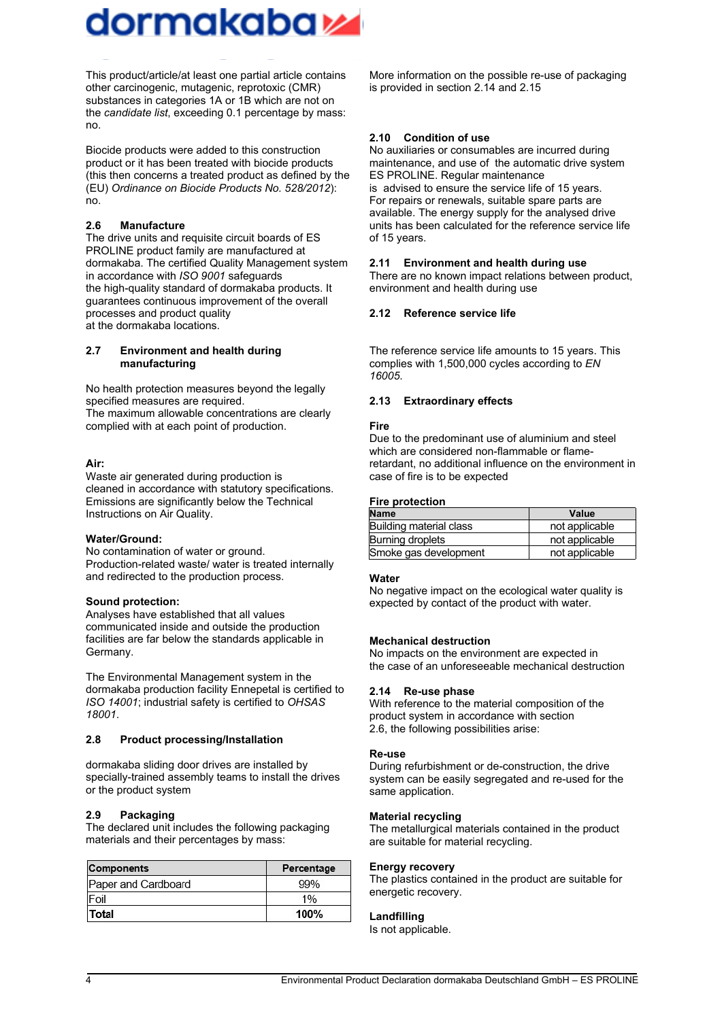

This product/article/at least one partial article contains other carcinogenic, mutagenic, reprotoxic (CMR) substances in categories 1A or 1B which are not on the *candidate list*, exceeding 0.1 percentage by mass: no.

Biocide products were added to this construction product or it has been treated with biocide products (this then concerns a treated product as defined by the (EU) *Ordinance on Biocide Products No. 528/2012*): no.

#### **2.6 Manufacture**

The drive units and requisite circuit boards of ES PROLINE product family are manufactured at dormakaba. The certified Quality Management system in accordance with *ISO 9001* safeguards the high-quality standard of dormakaba products. It guarantees continuous improvement of the overall processes and product quality at the dormakaba locations.

#### **2.7 Environment and health during manufacturing**

No health protection measures beyond the legally specified measures are required. The maximum allowable concentrations are clearly complied with at each point of production.

#### **Air:**

Waste air generated during production is cleaned in accordance with statutory specifications. Emissions are significantly below the Technical Instructions on Air Quality.

#### **Water/Ground:**

No contamination of water or ground. Production-related waste/ water is treated internally and redirected to the production process.

#### **Sound protection:**

Analyses have established that all values communicated inside and outside the production facilities are far below the standards applicable in Germany.

The Environmental Management system in the dormakaba production facility Ennepetal is certified to *ISO 14001*; industrial safety is certified to *OHSAS 18001*.

#### **2.8 Product processing/Installation**

dormakaba sliding door drives are installed by specially-trained assembly teams to install the drives or the product system

#### **2.9 Packaging**

The declared unit includes the following packaging materials and their percentages by mass:

| <b>Components</b>   | Percentage |  |
|---------------------|------------|--|
| Paper and Cardboard | 99%        |  |
| Foil                | 1%         |  |
| Total               | 100%       |  |

More information on the possible re-use of packaging is provided in section 2.14 and 2.15

#### **2.10 Condition of use**

No auxiliaries or consumables are incurred during maintenance, and use of the automatic drive system ES PROLINE. Regular maintenance is advised to ensure the service life of 15 years. For repairs or renewals, suitable spare parts are available. The energy supply for the analysed drive units has been calculated for the reference service life of 15 years.

#### **2.11 Environment and health during use**

There are no known impact relations between product, environment and health during use

#### **2.12 Reference service life**

The reference service life amounts to 15 years. This complies with 1,500,000 cycles according to *EN 16005*.

#### **2.13 Extraordinary effects**

#### **Fire**

Due to the predominant use of aluminium and steel which are considered non-flammable or flameretardant, no additional influence on the environment in case of fire is to be expected

#### **Fire protection**

| <b>Name</b>             | Value          |
|-------------------------|----------------|
| Building material class | not applicable |
| Burning droplets        | not applicable |
| Smoke gas development   | not applicable |

#### **Water**

No negative impact on the ecological water quality is expected by contact of the product with water.

#### **Mechanical destruction**

No impacts on the environment are expected in the case of an unforeseeable mechanical destruction

#### **2.14 Re-use phase**

With reference to the material composition of the product system in accordance with section 2.6, the following possibilities arise:

#### **Re-use**

During refurbishment or de-construction, the drive system can be easily segregated and re-used for the same application.

#### **Material recycling**

The metallurgical materials contained in the product are suitable for material recycling.

#### **Energy recovery**

The plastics contained in the product are suitable for energetic recovery.

#### **Landfilling**

Is not applicable.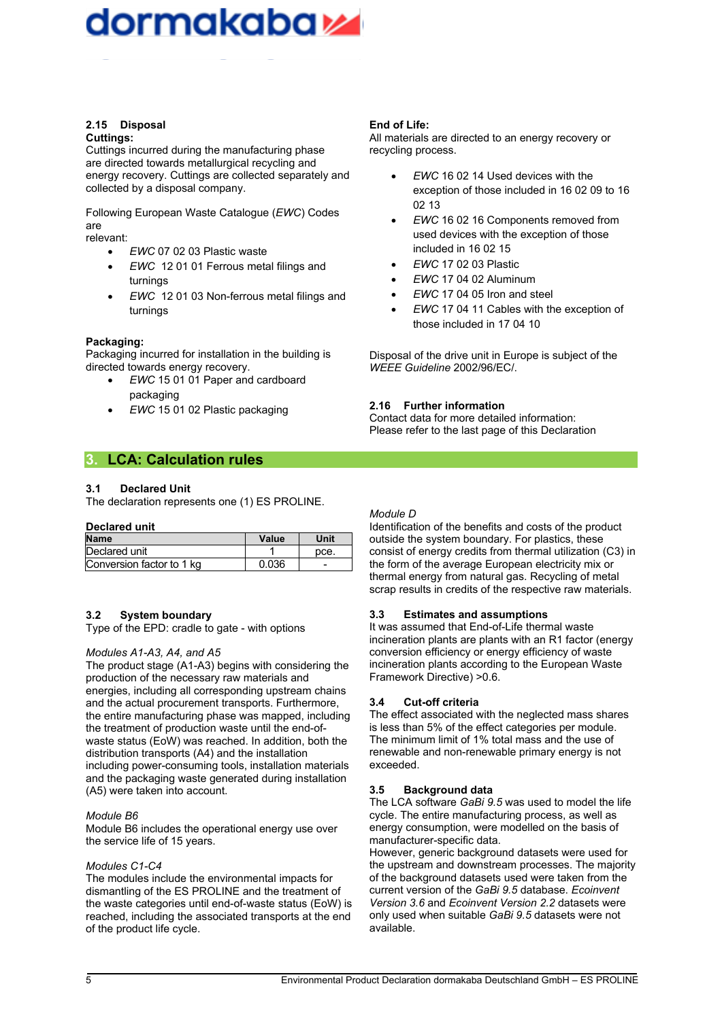## dormakaba sa

#### **2.15 Disposal Cuttings:**

Cuttings incurred during the manufacturing phase are directed towards metallurgical recycling and energy recovery. Cuttings are collected separately and collected by a disposal company.

Following European Waste Catalogue (*EWC*) Codes are

relevant:

- *EWC* 07 02 03 Plastic waste
- *EWC* 12 01 01 Ferrous metal filings and turnings
- *EWC* 12 01 03 Non-ferrous metal filings and turnings

#### **Packaging:**

Packaging incurred for installation in the building is directed towards energy recovery.

- *EWC* 15 01 01 Paper and cardboard packaging
- *EWC* 15 01 02 Plastic packaging

#### **End of Life:**

All materials are directed to an energy recovery or recycling process.

- *EWC* 16 02 14 Used devices with the exception of those included in 16 02 09 to 16 02 13
- *EWC* 16 02 16 Components removed from used devices with the exception of those included in 16 02 15
- *EWC* 17 02 03 Plastic
- *EWC* 17 04 02 Aluminum
- *EWC* 17 04 05 Iron and steel
- *EWC* 17 04 11 Cables with the exception of those included in 17 04 10

Disposal of the drive unit in Europe is subject of the *WEEE Guideline* 2002/96/EC/.

#### **2.16 Further information**

Contact data for more detailed information: Please refer to the last page of this Declaration

### **3. LCA: Calculation rules**

#### **3.1 Declared Unit**

The declaration represents one (1) ES PROLINE.

#### **Declared unit**

| <b>Name</b>               | Value | Unit |
|---------------------------|-------|------|
| Declared unit             |       | pce. |
| Conversion factor to 1 kg | 0.036 |      |

#### **3.2 System boundary**

Type of the EPD: cradle to gate - with options

#### *Modules A1-A3, A4, and A5*

The product stage (A1-A3) begins with considering the production of the necessary raw materials and energies, including all corresponding upstream chains and the actual procurement transports. Furthermore, the entire manufacturing phase was mapped, including the treatment of production waste until the end-ofwaste status (EoW) was reached. In addition, both the distribution transports (A4) and the installation including power-consuming tools, installation materials and the packaging waste generated during installation (A5) were taken into account.

#### *Module B6*

Module B6 includes the operational energy use over the service life of 15 years.

#### *Modules C1-C4*

The modules include the environmental impacts for dismantling of the ES PROLINE and the treatment of the waste categories until end-of-waste status (EoW) is reached, including the associated transports at the end of the product life cycle.

#### *Module D*

Identification of the benefits and costs of the product outside the system boundary. For plastics, these consist of energy credits from thermal utilization (C3) in the form of the average European electricity mix or thermal energy from natural gas. Recycling of metal scrap results in credits of the respective raw materials.

#### **3.3 Estimates and assumptions**

It was assumed that Fnd-of-Life thermal waste incineration plants are plants with an R1 factor (energy conversion efficiency or energy efficiency of waste incineration plants according to the European Waste Framework Directive) >0.6.

#### **3.4 Cut-off criteria**

The effect associated with the neglected mass shares is less than 5% of the effect categories per module. The minimum limit of 1% total mass and the use of renewable and non-renewable primary energy is not exceeded.

#### **3.5 Background data**

The LCA software *GaBi 9.5* was used to model the life cycle. The entire manufacturing process, as well as energy consumption, were modelled on the basis of manufacturer-specific data.

However, generic background datasets were used for the upstream and downstream processes. The majority of the background datasets used were taken from the current version of the *GaBi 9.5* database. *Ecoinvent Version 3.6* and *Ecoinvent Version 2.2* datasets were only used when suitable *GaBi 9.5* datasets were not available.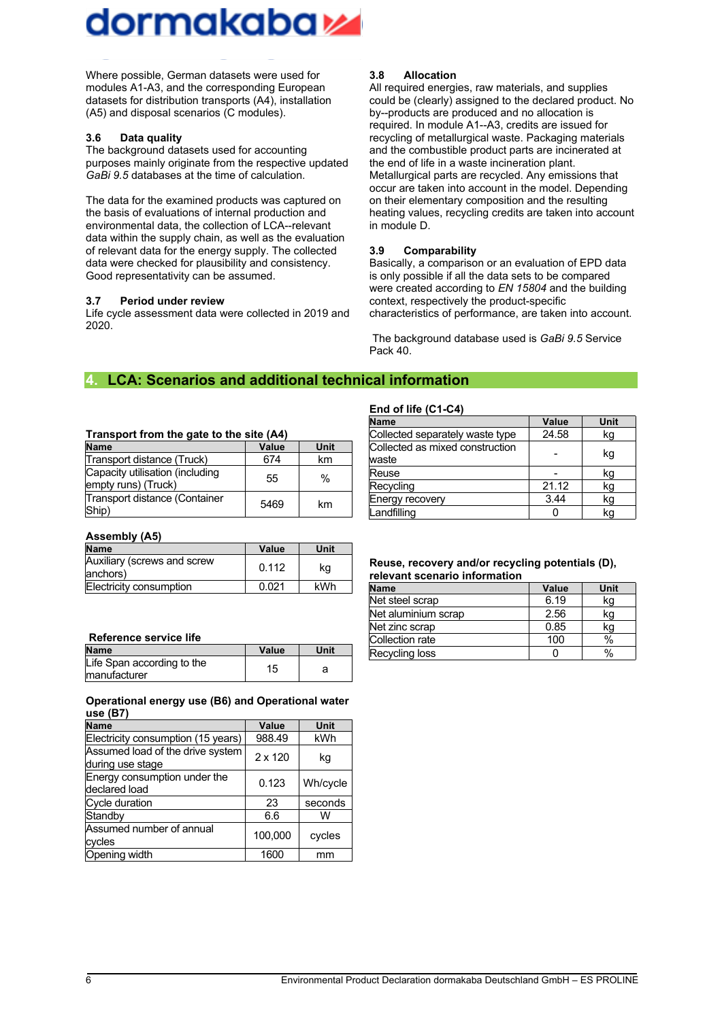

Where possible, German datasets were used for modules A1-A3, and the corresponding European datasets for distribution transports (A4), installation (A5) and disposal scenarios (C modules).

#### **3.6 Data quality**

The background datasets used for accounting purposes mainly originate from the respective updated *GaBi 9.5* databases at the time of calculation.

The data for the examined products was captured on the basis of evaluations of internal production and environmental data, the collection of LCA--relevant data within the supply chain, as well as the evaluation of relevant data for the energy supply. The collected data were checked for plausibility and consistency. Good representativity can be assumed.

#### **3.7 Period under review**

Life cycle assessment data were collected in 2019 and 2020.

#### **3.8 Allocation**

All required energies, raw materials, and supplies could be (clearly) assigned to the declared product. No by--products are produced and no allocation is required. In module A1--A3, credits are issued for recycling of metallurgical waste. Packaging materials and the combustible product parts are incinerated at the end of life in a waste incineration plant. Metallurgical parts are recycled. Any emissions that occur are taken into account in the model. Depending on their elementary composition and the resulting heating values, recycling credits are taken into account in module D.

#### **3.9 Comparability**

Basically, a comparison or an evaluation of EPD data is only possible if all the data sets to be compared were created according to *EN 15804* and the building context, respectively the product-specific characteristics of performance, are taken into account.

The background database used is *GaBi 9.5* Service Pack 40.

#### **4. LCA: Scenarios and additional technical information**

#### **Transport from the gate to the site (A4)**

| <b>Name</b>                                            | Value | Unit |
|--------------------------------------------------------|-------|------|
| Transport distance (Truck)                             | 674   | km   |
| Capacity utilisation (including<br>empty runs) (Truck) | 55    | $\%$ |
| Transport distance (Container<br>Ship)                 | 5469  | km   |

#### **Assembly (A5)**

| <b>Name</b>                              | Value | Unit |
|------------------------------------------|-------|------|
| Auxiliary (screws and screw<br>lanchors) | 0.112 | kg   |
| Electricity consumption                  | 0.021 | kWh  |

#### **Reference service life**

| <b>Name</b>                                 | Value | Unit |
|---------------------------------------------|-------|------|
| Life Span according to the<br>lmanufacturer | 15    |      |

#### **Operational energy use (B6) and Operational water use (B7)**

| <b>Name</b>                                          | Value          | Unit     |
|------------------------------------------------------|----------------|----------|
| Electricity consumption (15 years)                   | 988.49         | kWh      |
| Assumed load of the drive system<br>during use stage | $2 \times 120$ | kg       |
| Energy consumption under the<br>declared load        | 0.123          | Wh/cycle |
| Cycle duration                                       | 23             | seconds  |
| Standby                                              | 6.6            | W        |
| Assumed number of annual<br>cycles                   | 100.000        | cycles   |
| Opening width                                        | 1600           | mm       |

#### **End of life (C1-C4)**

| <b>Name</b>                              | Value | Unit |
|------------------------------------------|-------|------|
| Collected separately waste type          | 24.58 | kg   |
| Collected as mixed construction<br>waste |       | kg   |
| Reuse                                    |       | kg   |
| Recycling                                | 21.12 | kg   |
| Energy recovery                          | 3.44  | kq   |
| Landfilling                              |       | kg   |

#### **Reuse, recovery and/or recycling potentials (D), relevant scenario information**

| <b>Name</b>         | Value | Unit |
|---------------------|-------|------|
| Net steel scrap     | 6.19  | kg   |
| Net aluminium scrap | 2.56  | kg   |
| Net zinc scrap      | 0.85  | kg   |
| Collection rate     | 100   | %    |
| Recycling loss      |       | $\%$ |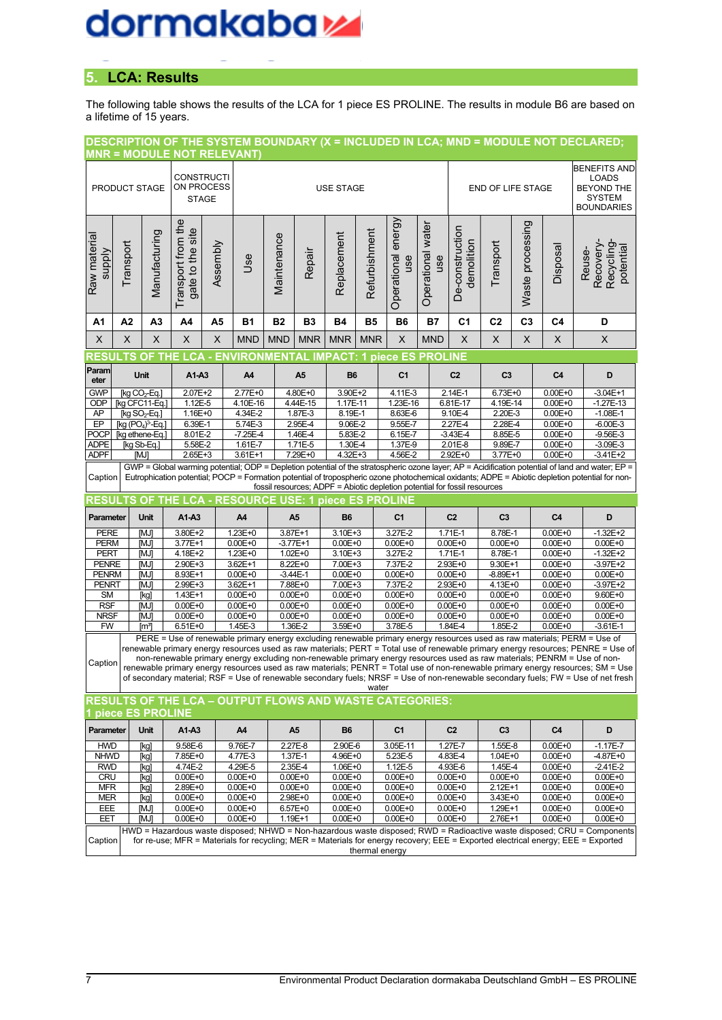## dormakabazz

### **5. LCA: Results**

The following table shows the results of the LCA for 1 piece ES PROLINE. The results in module B6 are based on a lifetime of 15 years.

|                                                                           |               |                                             | <b>MNR = MODULE NOT RELEVANT)</b>                              |          |                            |             |                                                                                                                                                                                                                                        |                            |               |                                   |                          |                               |                            |                  |                            | DESCRIPTION OF THE SYSTEM BOUNDARY (X = INCLUDED IN LCA; MND = MODULE NOT DECLARED;                                                                                                                                                                                                                                                                                                                                                                                                                                                                                                                                                                              |
|---------------------------------------------------------------------------|---------------|---------------------------------------------|----------------------------------------------------------------|----------|----------------------------|-------------|----------------------------------------------------------------------------------------------------------------------------------------------------------------------------------------------------------------------------------------|----------------------------|---------------|-----------------------------------|--------------------------|-------------------------------|----------------------------|------------------|----------------------------|------------------------------------------------------------------------------------------------------------------------------------------------------------------------------------------------------------------------------------------------------------------------------------------------------------------------------------------------------------------------------------------------------------------------------------------------------------------------------------------------------------------------------------------------------------------------------------------------------------------------------------------------------------------|
|                                                                           | PRODUCT STAGE |                                             | <b>CONSTRUCTI</b><br>ON PROCESS<br><b>STAGE</b>                |          |                            |             |                                                                                                                                                                                                                                        | <b>USE STAGE</b>           |               |                                   |                          | END OF LIFE STAGE             |                            |                  |                            | <b>BENEFITS AND</b><br>LOADS<br><b>BEYOND THE</b><br><b>SYSTEM</b><br><b>BOUNDARIES</b>                                                                                                                                                                                                                                                                                                                                                                                                                                                                                                                                                                          |
| Raw material<br><b>Alddns</b>                                             | Transport     | Manufacturing                               | Transport from the<br>gate to the site                         | Assembly | Jse                        | Maintenance | Repair                                                                                                                                                                                                                                 | Replacement                | Refurbishment | energy<br>Operational<br>use      | Operational water<br>use | De-construction<br>demolition | Transport                  | Waste processing | Disposal                   | Recovery-<br>Recycling<br>potential<br>Reuse-                                                                                                                                                                                                                                                                                                                                                                                                                                                                                                                                                                                                                    |
| A1                                                                        | A2            | A <sub>3</sub>                              | A4                                                             | A5       | <b>B1</b>                  | <b>B2</b>   | <b>B3</b>                                                                                                                                                                                                                              | <b>B4</b>                  | <b>B5</b>     | <b>B6</b>                         | <b>B7</b>                | C <sub>1</sub>                | C <sub>2</sub>             | C <sub>3</sub>   | C <sub>4</sub>             | D                                                                                                                                                                                                                                                                                                                                                                                                                                                                                                                                                                                                                                                                |
| X                                                                         | X             | X                                           | X                                                              | X        | <b>MND</b>                 | <b>MND</b>  | <b>MNR</b>                                                                                                                                                                                                                             | <b>MNR</b>                 | <b>MNR</b>    | X                                 | <b>MND</b>               | X                             | X                          | X                | X                          | X                                                                                                                                                                                                                                                                                                                                                                                                                                                                                                                                                                                                                                                                |
| RESI<br>Param                                                             | .TS           | <b>OF THE</b>                               | <b>LCA</b>                                                     |          | - ENVIRONMENTAL            |             |                                                                                                                                                                                                                                        |                            |               | <b>IMPACT: 1 piece ES PROLINE</b> |                          |                               |                            |                  |                            |                                                                                                                                                                                                                                                                                                                                                                                                                                                                                                                                                                                                                                                                  |
| eter                                                                      |               | Unit                                        | A1-A3                                                          |          | A4                         |             | A <sub>5</sub>                                                                                                                                                                                                                         | <b>B6</b>                  |               | C <sub>1</sub>                    |                          | C <sub>2</sub>                | C <sub>3</sub>             |                  | C <sub>4</sub>             | D                                                                                                                                                                                                                                                                                                                                                                                                                                                                                                                                                                                                                                                                |
| <b>GWP</b><br>ODP                                                         |               | [kg CO <sub>2</sub> -Eq.]<br>[kg CFC11-Eq.] | $2.07E + 2$<br>1.12E-5                                         |          | 2.77E+0<br>4.10E-16        |             | 4.80E+0<br>4.44E-15                                                                                                                                                                                                                    | 3.90E+2<br>1.17E-11        |               | $4.11E - 3$<br>1.23E-16           |                          | 2.14E-1<br>6.81E-17           | $6.73E + 0$<br>4.19E-14    |                  | $0.00E + 0$<br>$0.00E + 0$ | $-3.04E+1$<br>$-1.27E-13$                                                                                                                                                                                                                                                                                                                                                                                                                                                                                                                                                                                                                                        |
| AP                                                                        |               | $[kg SO2-Eq.]$                              | 1.16E+0                                                        |          | 4.34E-2                    |             | 1.87E-3                                                                                                                                                                                                                                | 8.19E-1                    |               | 8.63E-6                           |                          | 9.10E-4                       | 2.20E-3                    |                  | $0.00E + 0$                | $-1.08E-1$                                                                                                                                                                                                                                                                                                                                                                                                                                                                                                                                                                                                                                                       |
| EP                                                                        |               | $[kg (PO4)3 - Eq.]$                         | 6.39E-1                                                        |          | 5.74E-3                    |             | 2.95E-4                                                                                                                                                                                                                                | 9.06E-2                    |               | 9.55E-7                           |                          | 2.27E-4                       | 2.28E-4                    |                  | $0.00E + 0$                | $-6.00E-3$                                                                                                                                                                                                                                                                                                                                                                                                                                                                                                                                                                                                                                                       |
| <b>POCP</b><br><b>ADPE</b>                                                |               | [kg ethene-Eq.]<br>[kg Sb-Eq.]              | 8.01E-2<br>5.58E-2                                             |          | $-7.25E - 4$<br>1.61E-7    |             | 1.46E-4<br>1.71E-5                                                                                                                                                                                                                     | 5.83E-2<br>1.30E-4         |               | 6.15E-7<br>1.37E-9                |                          | $-3.43E - 4$<br>2.01E-8       | 8.85E-5<br>9.89E-7         |                  | $0.00E + 0$<br>$0.00E + 0$ | $-9.56E - 3$<br>$-3.09E - 3$                                                                                                                                                                                                                                                                                                                                                                                                                                                                                                                                                                                                                                     |
| <b>ADPF</b>                                                               |               | [MJ]                                        | $2.65E + 3$                                                    |          | 3.61E+1                    |             | 7.29E+0                                                                                                                                                                                                                                | 4.32E+3                    |               | 4.56E-2                           |                          | $2.92E + 0$                   | 3.77E+0                    |                  | $0.00E + 0$                | $-3.41E+2$                                                                                                                                                                                                                                                                                                                                                                                                                                                                                                                                                                                                                                                       |
|                                                                           |               |                                             |                                                                |          |                            |             |                                                                                                                                                                                                                                        |                            |               |                                   |                          |                               |                            |                  |                            | GWP = Global warming potential; ODP = Depletion potential of the stratospheric ozone layer; AP = Acidification potential of land and water; EP =                                                                                                                                                                                                                                                                                                                                                                                                                                                                                                                 |
|                                                                           |               |                                             |                                                                |          |                            |             | Eutrophication potential; POCP = Formation potential of tropospheric ozone photochemical oxidants; ADPE = Abiotic depletion potential for non-<br>Caption<br>fossil resources; ADPF = Abiotic depletion potential for fossil resources |                            |               |                                   |                          |                               |                            |                  |                            |                                                                                                                                                                                                                                                                                                                                                                                                                                                                                                                                                                                                                                                                  |
| <b>RESOURCE USE: 1 piece ES PROLINE</b><br>RESULTS<br><b>OF THE LCA -</b> |               |                                             |                                                                |          |                            |             |                                                                                                                                                                                                                                        |                            |               |                                   |                          |                               |                            |                  |                            |                                                                                                                                                                                                                                                                                                                                                                                                                                                                                                                                                                                                                                                                  |
|                                                                           |               |                                             |                                                                |          |                            |             |                                                                                                                                                                                                                                        |                            |               |                                   |                          |                               |                            |                  |                            |                                                                                                                                                                                                                                                                                                                                                                                                                                                                                                                                                                                                                                                                  |
| Parameter                                                                 |               | <b>Unit</b>                                 | A1-A3                                                          |          | A4                         |             | A <sub>5</sub>                                                                                                                                                                                                                         | <b>B6</b>                  |               | C <sub>1</sub>                    |                          | C <sub>2</sub>                | C <sub>3</sub>             |                  | C <sub>4</sub>             | D                                                                                                                                                                                                                                                                                                                                                                                                                                                                                                                                                                                                                                                                |
| <b>PERE</b>                                                               |               | [MJ]                                        | 3.80E+2                                                        |          | $1.23E + 0$                |             | 3.87E+1                                                                                                                                                                                                                                | 3.10E+3                    |               | 3.27E-2                           |                          | 1.71E-1                       | 8.78E-1                    |                  | $0.00E + 0$                | $-1.32E + 2$                                                                                                                                                                                                                                                                                                                                                                                                                                                                                                                                                                                                                                                     |
| <b>PERM</b>                                                               |               | [MJ]                                        | 3.77E+1                                                        |          | $0.00E + 0$                |             | $-3.77E + 1$                                                                                                                                                                                                                           | $0.00E + 0$                |               | $0.00E + 0$                       |                          | $0.00E + 0$                   | $0.00E + 0$                |                  | $0.00E + 0$                | $0.00E + 0$                                                                                                                                                                                                                                                                                                                                                                                                                                                                                                                                                                                                                                                      |
| <b>PERT</b><br><b>PENRE</b>                                               |               | [MJ]<br><b>MJI</b>                          | 4.18E+2<br>2.90E+3                                             |          | $1.23E + 0$<br>3.62E+1     |             | $1.02E + 0$<br>8.22E+0                                                                                                                                                                                                                 | 3.10E+3<br>7.00E+3         |               | 3.27E-2<br>7.37E-2                |                          | 1.71E-1<br>$2.93E + 0$        | 8.78E-1<br>9.30E+1         |                  | $0.00E + 0$<br>$0.00E + 0$ | $-1.32E+2$<br>$-3.97E+2$                                                                                                                                                                                                                                                                                                                                                                                                                                                                                                                                                                                                                                         |
| <b>PENRM</b>                                                              |               | [MJ]                                        | 8.93E+1                                                        |          | $0.00E + 0$                |             | $-3.44E-1$                                                                                                                                                                                                                             | $0.00E + 0$                |               | $0.00E + 0$                       |                          | $0.00E + 0$                   | $-8.89E+1$                 |                  | $0.00E + 0$                | $0.00E + 0$                                                                                                                                                                                                                                                                                                                                                                                                                                                                                                                                                                                                                                                      |
| <b>PENRT</b>                                                              |               | [MJ]                                        | 2.99E+3                                                        |          | 3.62E+1                    |             | 7.88E+0                                                                                                                                                                                                                                | 7.00E+3                    |               | 7.37E-2                           |                          | 2.93E+0                       | $4.13E + 0$                |                  | $0.00E + 0$                | $-3.97E + 2$                                                                                                                                                                                                                                                                                                                                                                                                                                                                                                                                                                                                                                                     |
| <b>SM</b><br><b>RSF</b>                                                   |               | [kg]<br>[MJ]                                | 1.43E+1<br>$0.00E + 0$                                         |          | $0.00E + 0$<br>$0.00E + 0$ |             | $0.00E + 0$<br>$0.00E + 0$                                                                                                                                                                                                             | $0.00E + 0$<br>$0.00E + 0$ |               | $0.00E + 0$<br>$0.00E + 0$        |                          | $0.00E + 0$<br>$0.00E + 0$    | $0.00E + 0$<br>$0.00E + 0$ |                  | $0.00E + 0$<br>$0.00E + 0$ | 9.60E+0<br>$0.00E + 0$                                                                                                                                                                                                                                                                                                                                                                                                                                                                                                                                                                                                                                           |
| <b>NRSF</b>                                                               |               | [MJ]                                        | $0.00E + 0$                                                    |          | $0.00E + 0$                |             | $0.00E + 0$                                                                                                                                                                                                                            | $0.00E + 0$                |               | $0.00E + 0$                       |                          | $0.00E + 0$                   | $0.00E + 0$                |                  | $0.00E + 0$                | $0.00E + 0$                                                                                                                                                                                                                                                                                                                                                                                                                                                                                                                                                                                                                                                      |
| <b>FW</b>                                                                 |               | [mª]                                        | $6.51E + 0$                                                    |          | 1.45E-3                    |             | 1.36E-2                                                                                                                                                                                                                                | 3.59E+0                    |               | 3.78E-5                           |                          | 1.84E-4                       | 1.85E-2                    |                  | $0.00E + 0$                | $-3.61E-1$                                                                                                                                                                                                                                                                                                                                                                                                                                                                                                                                                                                                                                                       |
| Caption                                                                   |               |                                             |                                                                |          |                            |             |                                                                                                                                                                                                                                        |                            | water         |                                   |                          |                               |                            |                  |                            | PERE = Use of renewable primary energy excluding renewable primary energy resources used as raw materials; PERM = Use of<br>renewable primary energy resources used as raw materials; PERT = Total use of renewable primary energy resources; PENRE = Use of<br>non-renewable primary energy excluding non-renewable primary energy resources used as raw materials; PENRM = Use of non-<br>renewable primary energy resources used as raw materials; PENRT = Total use of non-renewable primary energy resources; SM = Use<br>of secondary material; RSF = Use of renewable secondary fuels; NRSF = Use of non-renewable secondary fuels; FW = Use of net fresh |
|                                                                           |               |                                             | <b>RESULTS OF THE LCA - OUTPUT FLOWS AND WASTE CATEGORIES:</b> |          |                            |             |                                                                                                                                                                                                                                        |                            |               |                                   |                          |                               |                            |                  |                            |                                                                                                                                                                                                                                                                                                                                                                                                                                                                                                                                                                                                                                                                  |
|                                                                           |               | 1 piece ES PROLINE                          |                                                                |          |                            |             |                                                                                                                                                                                                                                        |                            |               |                                   |                          |                               |                            |                  |                            |                                                                                                                                                                                                                                                                                                                                                                                                                                                                                                                                                                                                                                                                  |
| Parameter                                                                 |               | Unit                                        | A1-A3                                                          |          | A4                         |             | A <sub>5</sub>                                                                                                                                                                                                                         | <b>B6</b>                  |               | C <sub>1</sub>                    |                          | C <sub>2</sub>                | C <sub>3</sub>             |                  | C4                         | D                                                                                                                                                                                                                                                                                                                                                                                                                                                                                                                                                                                                                                                                |
| <b>HWD</b>                                                                |               | [kg]                                        | 9.58E-6                                                        |          | 9.76E-7                    |             | 2.27E-8                                                                                                                                                                                                                                | 2.90E-6                    |               | 3.05E-11                          |                          | 1.27E-7                       | 1.55E-8                    |                  | $0.00E + 0$                | $-1.17E - 7$                                                                                                                                                                                                                                                                                                                                                                                                                                                                                                                                                                                                                                                     |
| <b>NHWD</b><br><b>RWD</b>                                                 |               | [kg]<br>[kg]                                | 7.85E+0<br>4.74E-2                                             |          | 4.77E-3<br>4.29E-5         |             | 1.37E-1<br>2.35E-4                                                                                                                                                                                                                     | 4.96E+0<br>1.06E+0         |               | 5.23E-5<br>1.12E-5                |                          | 4.83E-4<br>4.93E-6            | 1.04E+0<br>1.45E-4         |                  | $0.00E + 0$<br>$0.00E + 0$ | $-4.87E + 0$<br>$-2.41E-2$                                                                                                                                                                                                                                                                                                                                                                                                                                                                                                                                                                                                                                       |
| <b>CRU</b>                                                                |               | [kg]                                        | $0.00E + 0$                                                    |          | $0.00E + 0$                |             | $0.00E + 0$                                                                                                                                                                                                                            | $0.00E + 0$                |               | $0.00E + 0$                       |                          | $0.00E + 0$                   | $0.00E + 0$                |                  | $0.00E + 0$                | $0.00E + 0$                                                                                                                                                                                                                                                                                                                                                                                                                                                                                                                                                                                                                                                      |
| <b>MFR</b>                                                                |               | [kg]                                        | 2.89E+0                                                        |          | $0.00E + 0$                |             | $0.00E + 0$                                                                                                                                                                                                                            | $0.00E + 0$                |               | $0.00E + 0$                       |                          | $0.00E + 0$                   | 2.12E+1                    |                  | $0.00E + 0$                | $0.00E + 0$                                                                                                                                                                                                                                                                                                                                                                                                                                                                                                                                                                                                                                                      |
| <b>MER</b><br>EEE                                                         |               | [kg]<br>[MJ]                                | $0.00E + 0$<br>$0.00E + 0$                                     |          | $0.00E + 0$<br>$0.00E + 0$ |             | 2.98E+0<br>6.57E+0                                                                                                                                                                                                                     | $0.00E + 0$<br>$0.00E + 0$ |               | $0.00E + 0$<br>$0.00E + 0$        |                          | $0.00E + 0$<br>$0.00E + 0$    | 3.43E+0<br>1.29E+1         |                  | $0.00E + 0$<br>$0.00E + 0$ | $0.00E + 0$<br>$0.00E + 0$                                                                                                                                                                                                                                                                                                                                                                                                                                                                                                                                                                                                                                       |
| EET                                                                       |               | [MJ]                                        | $0.00E + 0$                                                    |          | $0.00E + 0$                |             | 1.19E+1                                                                                                                                                                                                                                | $0.00E + 0$                |               | $0.00E + 0$                       |                          | $0.00E + 0$                   | 2.76E+1                    |                  | $0.00E + 0$                | $0.00E + 0$<br>HWD = Hazardous waste disposed; NHWD = Non-hazardous waste disposed; RWD = Radioactive waste disposed; CRU = Components                                                                                                                                                                                                                                                                                                                                                                                                                                                                                                                           |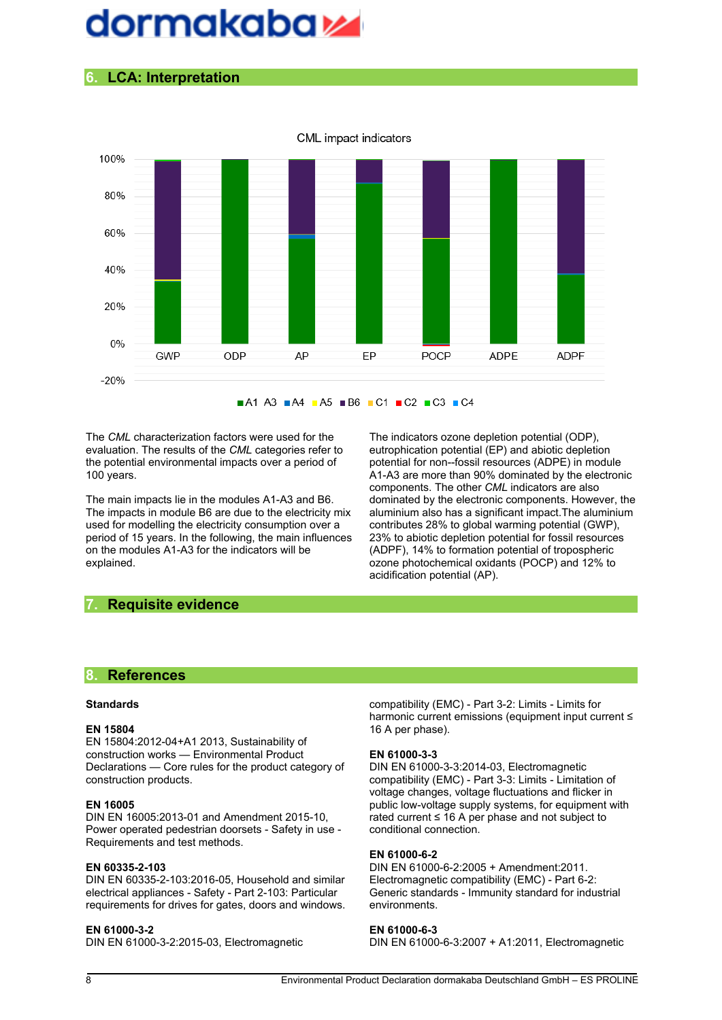## dormakaba sa

### **6. LCA: Interpretation**



 $\blacksquare$ A1 A3  $\blacksquare$ A4  $\blacksquare$ A5  $\blacksquare$ B6  $\blacksquare$ C1  $\blacksquare$ C2  $\blacksquare$ C3  $\blacksquare$ C4

The *CML* characterization factors were used for the evaluation. The results of the *CML* categories refer to the potential environmental impacts over a period of 100 years.

The main impacts lie in the modules A1-A3 and B6. The impacts in module B6 are due to the electricity mix used for modelling the electricity consumption over a period of 15 years. In the following, the main influences on the modules A1-A3 for the indicators will be explained.

The indicators ozone depletion potential (ODP), eutrophication potential (EP) and abiotic depletion potential for non--fossil resources (ADPE) in module A1A3 are more than 90% dominated by the electronic components. The other *CML* indicators are also dominated by the electronic components. However, the aluminium also has a significant impact.The aluminium contributes 28% to global warming potential (GWP), 23% to abiotic depletion potential for fossil resources (ADPF), 14% to formation potential of tropospheric ozone photochemical oxidants (POCP) and 12% to acidification potential (AP).

#### **7. Requisite evidence**

#### **8. References**

#### **Standards**

#### **EN 15804**

EN 15804:2012-04+A1 2013, Sustainability of construction works — Environmental Product Declarations — Core rules for the product category of construction products.

#### **EN 16005**

DIN EN 16005:2013-01 and Amendment 2015-10, Power operated pedestrian doorsets - Safety in use -Requirements and test methods.

#### **EN 60335-2-103**

DIN EN 60335-2-103:2016-05, Household and similar electrical appliances - Safety - Part 2-103: Particular requirements for drives for gates, doors and windows.

#### **EN 61000-3-2**

DIN EN 61000-3-2:2015-03, Electromagnetic

compatibility (EMC) - Part 3-2: Limits - Limits for harmonic current emissions (equipment input current ≤ 16 A per phase).

#### **EN 61000-3-3**

DIN EN 61000-3-3:2014-03, Electromagnetic compatibility (EMC) - Part 3-3: Limits - Limitation of voltage changes, voltage fluctuations and flicker in public low-voltage supply systems, for equipment with rated current ≤ 16 A per phase and not subject to conditional connection.

#### **EN 61000-6-2**

DIN EN 61000-6-2:2005 + Amendment:2011. Electromagnetic compatibility (EMC) - Part 6-2: Generic standards - Immunity standard for industrial environments.

#### **EN 61000-6-3**

DIN EN 61000-6-3:2007 + A1:2011, Electromagnetic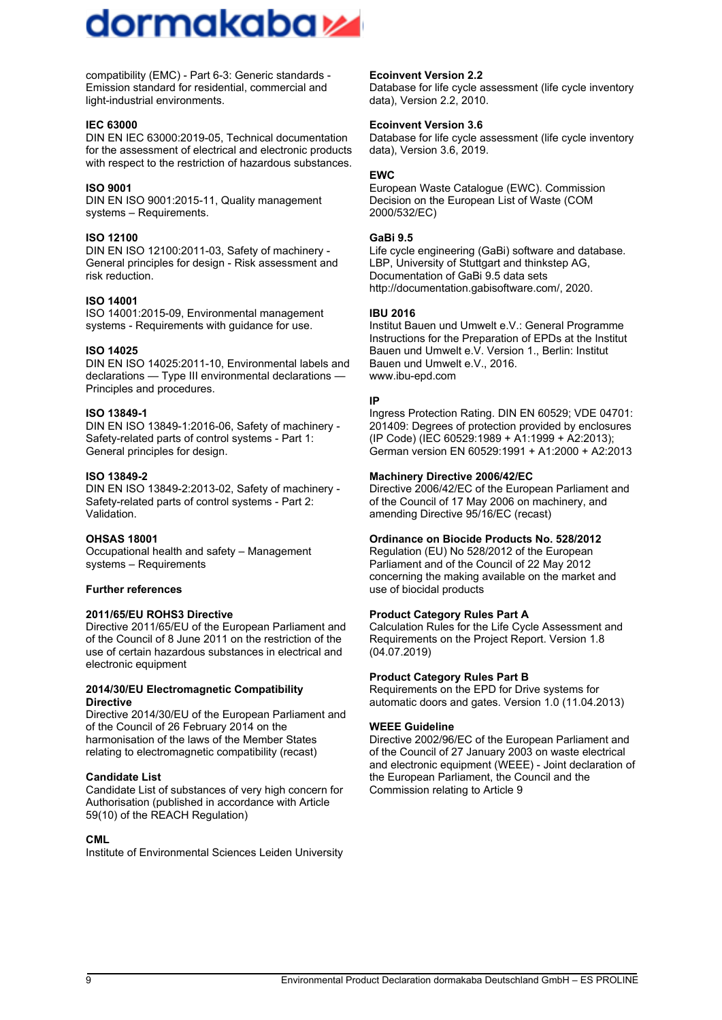## dormakaba sa

compatibility (EMC) - Part 6-3: Generic standards -Emission standard for residential, commercial and light-industrial environments.

#### **IEC 63000**

DIN EN IEC 63000:2019-05, Technical documentation for the assessment of electrical and electronic products with respect to the restriction of hazardous substances.

#### **ISO 9001**

DIN EN ISO 9001:2015-11, Quality management systems – Requirements.

#### **ISO 12100**

DIN EN ISO 12100:2011-03, Safety of machinery -General principles for design - Risk assessment and risk reduction.

#### **ISO 14001**

ISO 14001:2015-09, Environmental management systems - Requirements with quidance for use.

#### **ISO 14025**

DIN EN ISO 14025:2011-10, Environmental labels and declarations — Type III environmental declarations — Principles and procedures.

#### **ISO 13849-1**

DIN EN ISO 13849-1:2016-06, Safety of machinery -Safety-related parts of control systems - Part 1: General principles for design.

#### **ISO 13849-2**

DIN EN ISO 13849-2:2013-02, Safety of machinery -Safety-related parts of control systems - Part 2: Validation.

#### **OHSAS 18001**

Occupational health and safety – Management systems – Requirements

#### **Further references**

#### **2011/65/EU ROHS3 Directive**

Directive 2011/65/EU of the European Parliament and of the Council of 8 June 2011 on the restriction of the use of certain hazardous substances in electrical and electronic equipment

#### **2014/30/EU Electromagnetic Compatibility Directive**

Directive 2014/30/EU of the European Parliament and of the Council of 26 February 2014 on the harmonisation of the laws of the Member States relating to electromagnetic compatibility (recast)

#### **Candidate List**

Candidate List of substances of very high concern for Authorisation (published in accordance with Article 59(10) of the REACH Regulation)

#### **CML**

Institute of Environmental Sciences Leiden University

#### **Ecoinvent Version 2.2**

Database for life cycle assessment (life cycle inventory data), Version 2.2, 2010.

#### **Ecoinvent Version 3.6**

Database for life cycle assessment (life cycle inventory data), Version 3.6, 2019.

#### **EWC**

European Waste Catalogue (EWC). Commission Decision on the European List of Waste (COM 2000/532/EC)

#### **GaBi 9.5**

Life cycle engineering (GaBi) software and database. LBP, University of Stuttgart and thinkstep AG, Documentation of GaBi 9.5 data sets http://documentation.gabisoftware.com/, 2020.

#### **IBU 2016**

Institut Bauen und Umwelt e.V.: General Programme Instructions for the Preparation of EPDs at the Institut Bauen und Umwelt e.V. Version 1., Berlin: Institut Bauen und Umwelt e.V., 2016. www.ibu-epd.com

#### **IP**

Ingress Protection Rating. DIN EN 60529; VDE 04701: 201409: Degrees of protection provided by enclosures (IP Code) (IEC 60529:1989 + A1:1999 + A2:2013); German version EN 60529:1991 + A1:2000 + A2:2013

#### **Machinery Directive 2006/42/EC**

Directive 2006/42/EC of the European Parliament and of the Council of 17 May 2006 on machinery, and amending Directive 95/16/EC (recast)

#### **Ordinance on Biocide Products No. 528/2012**

Regulation (EU) No 528/2012 of the European Parliament and of the Council of 22 May 2012 concerning the making available on the market and use of biocidal products

#### **Product Category Rules Part A**

Calculation Rules for the Life Cycle Assessment and Requirements on the Project Report. Version 1.8 (04.07.2019)

#### **Product Category Rules Part B**

Requirements on the EPD for Drive systems for automatic doors and gates. Version 1.0 (11.04.2013)

#### **WEEE Guideline**

Directive 2002/96/EC of the European Parliament and of the Council of 27 January 2003 on waste electrical and electronic equipment (WEEE) Joint declaration of the European Parliament, the Council and the Commission relating to Article 9